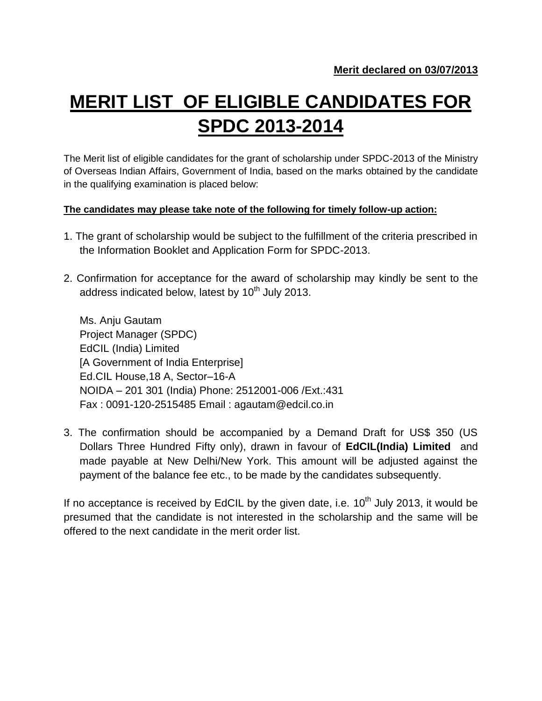## **MERIT LIST OF ELIGIBLE CANDIDATES FOR SPDC 2013-2014**

The Merit list of eligible candidates for the grant of scholarship under SPDC-2013 of the Ministry of Overseas Indian Affairs, Government of India, based on the marks obtained by the candidate in the qualifying examination is placed below:

## **The candidates may please take note of the following for timely follow-up action:**

- 1. The grant of scholarship would be subject to the fulfillment of the criteria prescribed in the Information Booklet and Application Form for SPDC-2013.
- 2. Confirmation for acceptance for the award of scholarship may kindly be sent to the address indicated below, latest by  $10^{th}$  July 2013.

Ms. Anju Gautam Project Manager (SPDC) EdCIL (India) Limited [A Government of India Enterprise] Ed.CIL House,18 A, Sector–16-A NOIDA – 201 301 (India) Phone: 2512001-006 /Ext.:431 Fax : 0091-120-2515485 Email : agautam@edcil.co.in

3. The confirmation should be accompanied by a Demand Draft for US\$ 350 (US Dollars Three Hundred Fifty only), drawn in favour of **EdCIL(India) Limited** and made payable at New Delhi/New York. This amount will be adjusted against the payment of the balance fee etc., to be made by the candidates subsequently.

If no acceptance is received by EdCIL by the given date, i.e.  $10^{th}$  July 2013, it would be presumed that the candidate is not interested in the scholarship and the same will be offered to the next candidate in the merit order list.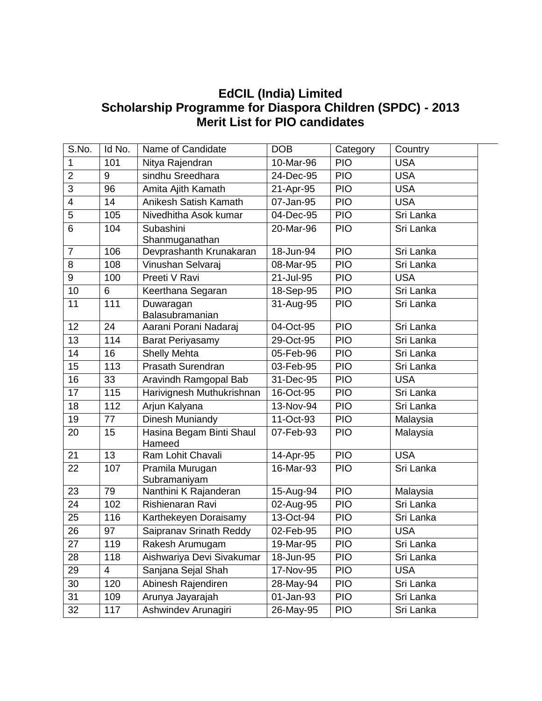## **EdCIL (India) Limited Scholarship Programme for Diaspora Children (SPDC) - 2013 Merit List for PIO candidates**

| S.No.          | Id No. | Name of Candidate                  | <b>DOB</b>  | Category   | Country    |
|----------------|--------|------------------------------------|-------------|------------|------------|
| 1              | 101    | Nitya Rajendran                    | 10-Mar-96   | <b>PIO</b> | <b>USA</b> |
| $\overline{2}$ | 9      | sindhu Sreedhara                   | 24-Dec-95   | <b>PIO</b> | <b>USA</b> |
| 3              | 96     | Amita Ajith Kamath                 | 21-Apr-95   | <b>PIO</b> | <b>USA</b> |
| 4              | 14     | Anikesh Satish Kamath              | 07-Jan-95   | <b>PIO</b> | <b>USA</b> |
| 5              | 105    | Nivedhitha Asok kumar              | 04-Dec-95   | <b>PIO</b> | Sri Lanka  |
| 6              | 104    | Subashini<br>Shanmuganathan        | 20-Mar-96   | <b>PIO</b> | Sri Lanka  |
| $\overline{7}$ | 106    | Devprashanth Krunakaran            | 18-Jun-94   | <b>PIO</b> | Sri Lanka  |
| 8              | 108    | Vinushan Selvaraj                  | 08-Mar-95   | <b>PIO</b> | Sri Lanka  |
| 9              | 100    | Preeti V Ravi                      | 21-Jul-95   | <b>PIO</b> | <b>USA</b> |
| 10             | 6      | Keerthana Segaran                  | 18-Sep-95   | <b>PIO</b> | Sri Lanka  |
| 11             | 111    | Duwaragan<br>Balasubramanian       | 31-Aug-95   | <b>PIO</b> | Sri Lanka  |
| 12             | 24     | Aarani Porani Nadaraj              | 04-Oct-95   | <b>PIO</b> | Sri Lanka  |
| 13             | 114    | <b>Barat Periyasamy</b>            | 29-Oct-95   | <b>PIO</b> | Sri Lanka  |
| 14             | 16     | <b>Shelly Mehta</b>                | 05-Feb-96   | <b>PIO</b> | Sri Lanka  |
| 15             | 113    | <b>Prasath Surendran</b>           | 03-Feb-95   | <b>PIO</b> | Sri Lanka  |
| 16             | 33     | Aravindh Ramgopal Bab              | 31-Dec-95   | <b>PIO</b> | <b>USA</b> |
| 17             | 115    | Harivignesh Muthukrishnan          | 16-Oct-95   | <b>PIO</b> | Sri Lanka  |
| 18             | 112    | Arjun Kalyana                      | $13-Nov-94$ | PIO        | Sri Lanka  |
| 19             | 77     | Dinesh Muniandy                    | 11-Oct-93   | <b>PIO</b> | Malaysia   |
| 20             | 15     | Hasina Begam Binti Shaul<br>Hameed | 07-Feb-93   | <b>PIO</b> | Malaysia   |
| 21             | 13     | Ram Lohit Chavali                  | 14-Apr-95   | <b>PIO</b> | <b>USA</b> |
| 22             | 107    | Pramila Murugan<br>Subramaniyam    | 16-Mar-93   | <b>PIO</b> | Sri Lanka  |
| 23             | 79     | Nanthini K Rajanderan              | 15-Aug-94   | PIO        | Malaysia   |
| 24             | 102    | Rishienaran Ravi                   | 02-Aug-95   | <b>PIO</b> | Sri Lanka  |
| 25             | 116    | Karthekeyen Doraisamy              | 13-Oct-94   | <b>PIO</b> | Sri Lanka  |
| 26             | 97     | Saipranav Srinath Reddy            | 02-Feb-95   | <b>PIO</b> | <b>USA</b> |
| 27             | 119    | Rakesh Arumugam                    | 19-Mar-95   | <b>PIO</b> | Sri Lanka  |
| 28             | 118    | Aishwariya Devi Sivakumar          | 18-Jun-95   | <b>PIO</b> | Sri Lanka  |
| 29             | 4      | Sanjana Sejal Shah                 | 17-Nov-95   | <b>PIO</b> | <b>USA</b> |
| 30             | 120    | Abinesh Rajendiren                 | 28-May-94   | <b>PIO</b> | Sri Lanka  |
| 31             | 109    | Arunya Jayarajah                   | 01-Jan-93   | <b>PIO</b> | Sri Lanka  |
| 32             | 117    | Ashwindev Arunagiri                | 26-May-95   | <b>PIO</b> | Sri Lanka  |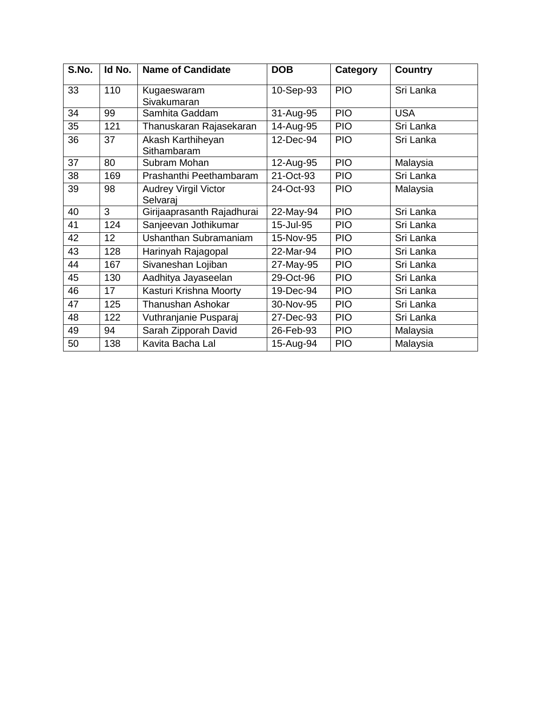| S.No. | Id No.          | <b>Name of Candidate</b>                | <b>DOB</b> | <b>Category</b> | <b>Country</b> |
|-------|-----------------|-----------------------------------------|------------|-----------------|----------------|
| 33    | 110             | Kugaeswaram<br>Sivakumaran              | 10-Sep-93  | <b>PIO</b>      | Sri Lanka      |
| 34    | 99              | Samhita Gaddam                          | 31-Aug-95  | <b>PIO</b>      | <b>USA</b>     |
| 35    | 121             | Thanuskaran Rajasekaran                 | 14-Aug-95  | <b>PIO</b>      | Sri Lanka      |
| 36    | 37              | Akash Karthiheyan<br>Sithambaram        | 12-Dec-94  | <b>PIO</b>      | Sri Lanka      |
| 37    | 80              | Subram Mohan                            | 12-Aug-95  | <b>PIO</b>      | Malaysia       |
| 38    | 169             | Prashanthi Peethambaram                 | 21-Oct-93  | <b>PIO</b>      | Sri Lanka      |
| 39    | 98              | <b>Audrey Virgil Victor</b><br>Selvaraj | 24-Oct-93  | <b>PIO</b>      | Malaysia       |
| 40    | 3               | Girijaaprasanth Rajadhurai              | 22-May-94  | <b>PIO</b>      | Sri Lanka      |
| 41    | 124             | Sanjeevan Jothikumar                    | 15-Jul-95  | <b>PIO</b>      | Sri Lanka      |
| 42    | 12 <sub>2</sub> | Ushanthan Subramaniam                   | 15-Nov-95  | <b>PIO</b>      | Sri Lanka      |
| 43    | 128             | Harinyah Rajagopal                      | 22-Mar-94  | <b>PIO</b>      | Sri Lanka      |
| 44    | 167             | Sivaneshan Lojiban                      | 27-May-95  | <b>PIO</b>      | Sri Lanka      |
| 45    | 130             | Aadhitya Jayaseelan                     | 29-Oct-96  | <b>PIO</b>      | Sri Lanka      |
| 46    | 17              | Kasturi Krishna Moorty                  | 19-Dec-94  | <b>PIO</b>      | Sri Lanka      |
| 47    | 125             | <b>Thanushan Ashokar</b>                | 30-Nov-95  | <b>PIO</b>      | Sri Lanka      |
| 48    | 122             | Vuthranjanie Pusparaj                   | 27-Dec-93  | <b>PIO</b>      | Sri Lanka      |
| 49    | 94              | Sarah Zipporah David                    | 26-Feb-93  | <b>PIO</b>      | Malaysia       |
| 50    | 138             | Kavita Bacha Lal                        | 15-Aug-94  | <b>PIO</b>      | Malaysia       |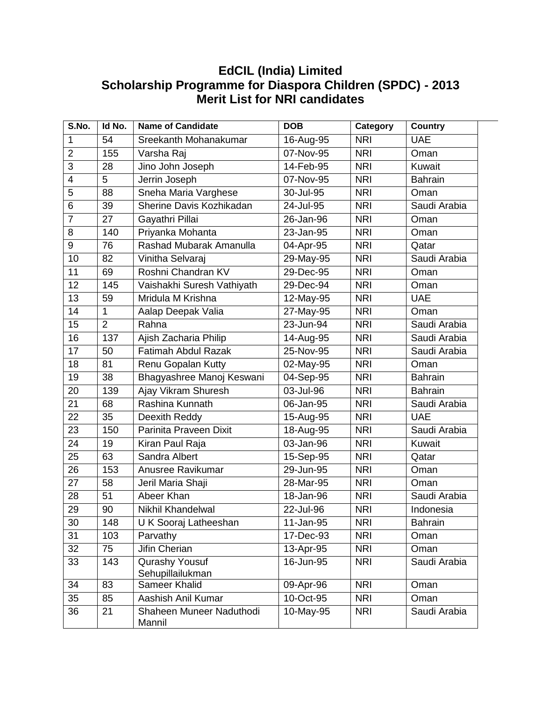## **EdCIL (India) Limited Scholarship Programme for Diaspora Children (SPDC) - 2013 Merit List for NRI candidates**

| S.No.          | Id No.         | <b>Name of Candidate</b>           | <b>DOB</b>   | Category   | <b>Country</b> |
|----------------|----------------|------------------------------------|--------------|------------|----------------|
| 1              | 54             | Sreekanth Mohanakumar              | 16-Aug-95    | <b>NRI</b> | <b>UAE</b>     |
| $\overline{2}$ | 155            | Varsha Raj                         | 07-Nov-95    | <b>NRI</b> | Oman           |
| 3              | 28             | Jino John Joseph                   | 14-Feb-95    | <b>NRI</b> | Kuwait         |
| 4              | 5              | Jerrin Joseph                      | 07-Nov-95    | <b>NRI</b> | <b>Bahrain</b> |
| 5              | 88             | Sneha Maria Varghese               | 30-Jul-95    | <b>NRI</b> | Oman           |
| 6              | 39             | Sherine Davis Kozhikadan           | 24-Jul-95    | <b>NRI</b> | Saudi Arabia   |
| $\overline{7}$ | 27             | Gayathri Pillai                    | 26-Jan-96    | <b>NRI</b> | Oman           |
| 8              | 140            | Priyanka Mohanta                   | 23-Jan-95    | <b>NRI</b> | Oman           |
| 9              | 76             | Rashad Mubarak Amanulla            | 04-Apr-95    | <b>NRI</b> | Qatar          |
| 10             | 82             | Vinitha Selvaraj                   | 29-May-95    | <b>NRI</b> | Saudi Arabia   |
| 11             | 69             | Roshni Chandran KV                 | 29-Dec-95    | <b>NRI</b> | Oman           |
| 12             | 145            | Vaishakhi Suresh Vathiyath         | 29-Dec-94    | <b>NRI</b> | Oman           |
| 13             | 59             | Mridula M Krishna                  | 12-May-95    | <b>NRI</b> | <b>UAE</b>     |
| 14             | 1              | Aalap Deepak Valia                 | 27-May-95    | <b>NRI</b> | Oman           |
| 15             | $\overline{2}$ | Rahna                              | 23-Jun-94    | <b>NRI</b> | Saudi Arabia   |
| 16             | 137            | Ajish Zacharia Philip              | 14-Aug-95    | <b>NRI</b> | Saudi Arabia   |
| 17             | 50             | <b>Fatimah Abdul Razak</b>         | 25-Nov-95    | <b>NRI</b> | Saudi Arabia   |
| 18             | 81             | Renu Gopalan Kutty                 | 02-May-95    | <b>NRI</b> | Oman           |
| 19             | 38             | Bhagyashree Manoj Keswani          | 04-Sep-95    | <b>NRI</b> | <b>Bahrain</b> |
| 20             | 139            | Ajay Vikram Shuresh                | 03-Jul-96    | <b>NRI</b> | <b>Bahrain</b> |
| 21             | 68             | Rashina Kunnath                    | 06-Jan-95    | <b>NRI</b> | Saudi Arabia   |
| 22             | 35             | Deexith Reddy                      | 15-Aug-95    | <b>NRI</b> | <b>UAE</b>     |
| 23             | 150            | Parinita Praveen Dixit             | 18-Aug-95    | <b>NRI</b> | Saudi Arabia   |
| 24             | 19             | Kiran Paul Raja                    | 03-Jan-96    | <b>NRI</b> | Kuwait         |
| 25             | 63             | Sandra Albert                      | 15-Sep-95    | <b>NRI</b> | Qatar          |
| 26             | 153            | Anusree Ravikumar                  | 29-Jun-95    | <b>NRI</b> | Oman           |
| 27             | 58             | Jeril Maria Shaji                  | 28-Mar-95    | <b>NRI</b> | Oman           |
| 28             | 51             | Abeer Khan                         | 18-Jan-96    | <b>NRI</b> | Saudi Arabia   |
| 29             | 90             | <b>Nikhil Khandelwal</b>           | 22-Jul-96    | <b>NRI</b> | Indonesia      |
| 30             | 148            | U K Sooraj Latheeshan              | 11-Jan-95    | <b>NRI</b> | <b>Bahrain</b> |
| 31             | 103            | Parvathy                           | 17-Dec-93    | <b>NRI</b> | Oman           |
| 32             | 75             | Jifin Cherian                      | 13-Apr-95    | <b>NRI</b> | Oman           |
| 33             | 143            | Qurashy Yousuf                     | 16-Jun-95    | <b>NRI</b> | Saudi Arabia   |
|                |                | Sehupillailukman                   |              |            |                |
| 34             | 83             | Sameer Khalid                      | 09-Apr-96    | <b>NRI</b> | Oman           |
| 35             | 85             | Aashish Anil Kumar                 | 10-Oct-95    | <b>NRI</b> | Oman           |
| 36             | 21             | Shaheen Muneer Naduthodi<br>Mannil | $10$ -May-95 | <b>NRI</b> | Saudi Arabia   |